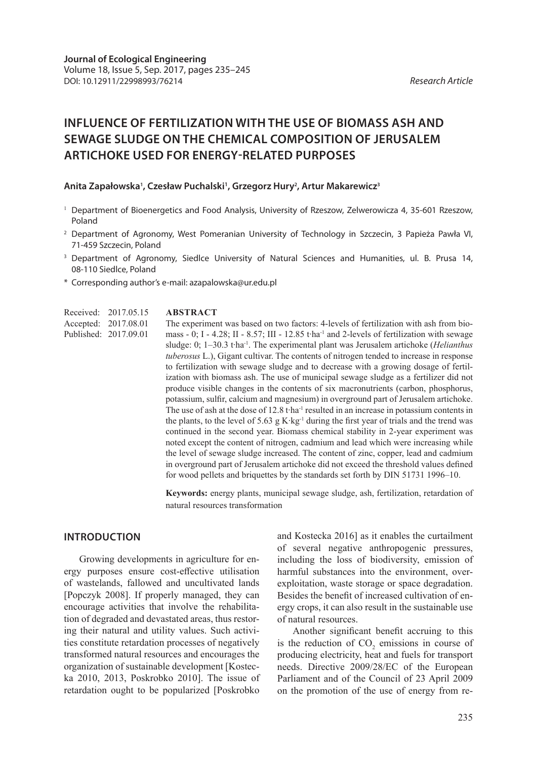# **INFLUENCE OF FERTILIZATION WITH THE USE OF BIOMASS ASH AND SEWAGE SLUDGE ON THE CHEMICAL COMPOSITION OF JERUSALEM ARTICHOKE USED FOR ENERGY-RELATED PURPOSES**

### Anita Zapałowska<sup>1</sup>, Czesław Puchalski<sup>1</sup>, Grzegorz Hury<sup>2</sup>, Artur Makarewicz<sup>3</sup>

- $1$  Department of Bioenergetics and Food Analysis, University of Rzeszow, Zelwerowicza 4, 35-601 Rzeszow, Poland
- <sup>2</sup> Department of Agronomy, West Pomeranian University of Technology in Szczecin, 3 Papieża Pawła VI, 71-459 Szczecin, Poland
- <sup>3</sup> Department of Agronomy, Siedlce University of Natural Sciences and Humanities, ul. B. Prusa 14, 08-110 Siedlce, Poland
- \* Corresponding author's e-mail: azapalowska@ur.edu.pl

**ABSTRACT** Received: 2017.05.15

The experiment was based on two factors: 4-levels of fertilization with ash from biomass - 0; I - 4.28; II - 8.57; III - 12.85 t∙ha-1 and 2-levels of fertilization with sewage sludge: 0; 1–30.3 t∙ha-1. The experimental plant was Jerusalem artichoke (*Helianthus tuberosus* L.), Gigant cultivar. The contents of nitrogen tended to increase in response to fertilization with sewage sludge and to decrease with a growing dosage of fertilization with biomass ash. The use of municipal sewage sludge as a fertilizer did not produce visible changes in the contents of six macronutrients (carbon, phosphorus, potassium, sulfir, calcium and magnesium) in overground part of Jerusalem artichoke. Accepted: 2017.08.01 Published: 2017.09.01

The use of ash at the dose of 12.8 t⋅ha<sup>-1</sup> resulted in an increase in potassium contents in the plants, to the level of 5.63 g K∙kg-1 during the first year of trials and the trend was continued in the second year. Biomass chemical stability in 2-year experiment was noted except the content of nitrogen, cadmium and lead which were increasing while the level of sewage sludge increased. The content of zinc, copper, lead and cadmium in overground part of Jerusalem artichoke did not exceed the threshold values defined for wood pellets and briquettes by the standards set forth by DIN 51731 1996–10.

**Keywords:** energy plants, municipal sewage sludge, ash, fertilization, retardation of natural resources transformation

## **INTRODUCTION**

Growing developments in agriculture for energy purposes ensure cost-effective utilisation of wastelands, fallowed and uncultivated lands [Popczyk 2008]. If properly managed, they can encourage activities that involve the rehabilitation of degraded and devastated areas, thus restoring their natural and utility values. Such activities constitute retardation processes of negatively transformed natural resources and encourages the organization of sustainable development [Kostecka 2010, 2013, Poskrobko 2010]. The issue of retardation ought to be popularized [Poskrobko and Kostecka 2016] as it enables the curtailment of several negative anthropogenic pressures, including the loss of biodiversity, emission of harmful substances into the environment, overexploitation, waste storage or space degradation. Besides the benefit of increased cultivation of energy crops, it can also result in the sustainable use of natural resources.

Another significant benefit accruing to this is the reduction of  $CO<sub>2</sub>$  emissions in course of producing electricity, heat and fuels for transport needs. Directive 2009/28/EC of the European Parliament and of the Council of 23 April 2009 on the promotion of the use of energy from re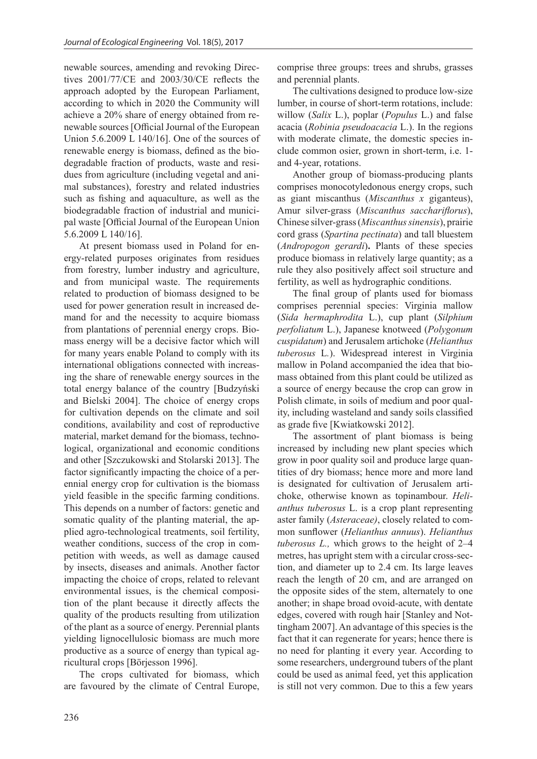newable sources, amending and revoking Directives 2001/77/CE and 2003/30/CE reflects the approach adopted by the European Parliament, according to which in 2020 the Community will achieve a 20% share of energy obtained from renewable sources [Official Journal of the European Union 5.6.2009 L 140/16]. One of the sources of renewable energy is biomass, defined as the biodegradable fraction of products, waste and residues from agriculture (including vegetal and animal substances), forestry and related industries such as fishing and aquaculture, as well as the biodegradable fraction of industrial and municipal waste [Official Journal of the European Union 5.6.2009 L 140/16].

At present biomass used in Poland for energy-related purposes originates from residues from forestry, lumber industry and agriculture, and from municipal waste. The requirements related to production of biomass designed to be used for power generation result in increased demand for and the necessity to acquire biomass from plantations of perennial energy crops. Biomass energy will be a decisive factor which will for many years enable Poland to comply with its international obligations connected with increasing the share of renewable energy sources in the total energy balance of the country [Budzyński and Bielski 2004]. The choice of energy crops for cultivation depends on the climate and soil conditions, availability and cost of reproductive material, market demand for the biomass, technological, organizational and economic conditions and other [Szczukowski and Stolarski 2013]. The factor significantly impacting the choice of a perennial energy crop for cultivation is the biomass yield feasible in the specific farming conditions. This depends on a number of factors: genetic and somatic quality of the planting material, the applied agro-technological treatments, soil fertility, weather conditions, success of the crop in competition with weeds, as well as damage caused by insects, diseases and animals. Another factor impacting the choice of crops, related to relevant environmental issues, is the chemical composition of the plant because it directly affects the quality of the products resulting from utilization of the plant as a source of energy. Perennial plants yielding lignocellulosic biomass are much more productive as a source of energy than typical agricultural crops [Börjesson 1996].

The crops cultivated for biomass, which are favoured by the climate of Central Europe, comprise three groups: trees and shrubs, grasses and perennial plants.

The cultivations designed to produce low-size lumber, in course of short-term rotations, include: willow (*Salix* L.), poplar (*Populus* L.) and false acacia (*Robinia pseudoacacia* L.). In the regions with moderate climate, the domestic species include common osier, grown in short-term, i.e. 1 and 4-year, rotations.

Another group of biomass-producing plants comprises monocotyledonous energy crops, such as giant miscanthus (*Miscanthus x* giganteus), Amur silver-grass (*Miscanthus sacchariflorus*), Chinese silver-grass (*Miscanthus sinensis*), prairie cord grass (*Spartina pectinata*) and tall bluestem (*Andropogon gerardi*)**.** Plants of these species produce biomass in relatively large quantity; as a rule they also positively affect soil structure and fertility, as well as hydrographic conditions.

The final group of plants used for biomass comprises perennial species: Virginia mallow (*Sida hermaphrodita* L.), cup plant (*Silphium perfoliatum* L.), Japanese knotweed (*Polygonum cuspidatum*) and Jerusalem artichoke (*Helianthus tuberosus* L*.*). Widespread interest in Virginia mallow in Poland accompanied the idea that biomass obtained from this plant could be utilized as a source of energy because the crop can grow in Polish climate, in soils of medium and poor quality, including wasteland and sandy soils classified as grade five [Kwiatkowski 2012].

The assortment of plant biomass is being increased by including new plant species which grow in poor quality soil and produce large quantities of dry biomass; hence more and more land is designated for cultivation of Jerusalem artichoke, otherwise known as topinambour. *Helianthus tuberosus* L. is a crop plant representing aster family (*Asteraceae)*, closely related to common sunflower (*Helianthus annuus*). *Helianthus tuberosus L.,* which grows to the height of 2–4 metres, has upright stem with a circular cross-section, and diameter up to 2.4 cm. Its large leaves reach the length of 20 cm, and are arranged on the opposite sides of the stem, alternately to one another; in shape broad ovoid-acute, with dentate edges, covered with rough hair [Stanley and Nottingham 2007]. An advantage of this species is the fact that it can regenerate for years; hence there is no need for planting it every year. According to some researchers, underground tubers of the plant could be used as animal feed, yet this application is still not very common. Due to this a few years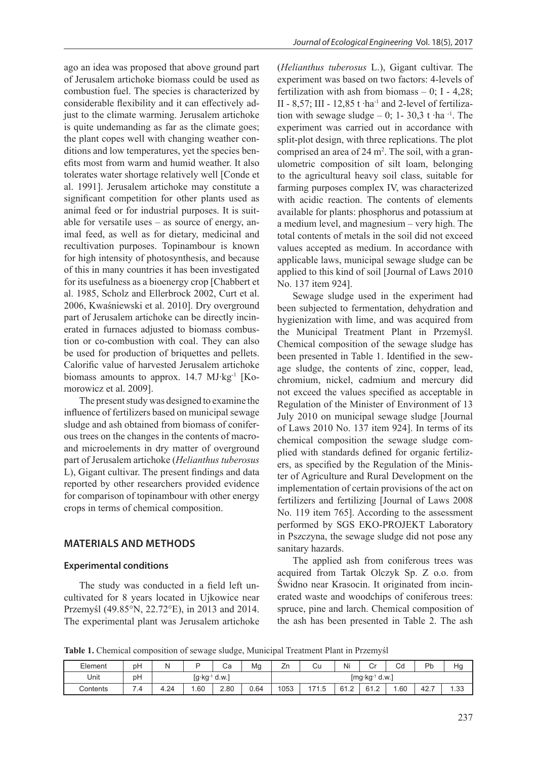ago an idea was proposed that above ground part of Jerusalem artichoke biomass could be used as combustion fuel. The species is characterized by considerable flexibility and it can effectively adjust to the climate warming. Jerusalem artichoke is quite undemanding as far as the climate goes; the plant copes well with changing weather conditions and low temperatures, yet the species benefits most from warm and humid weather. It also tolerates water shortage relatively well [Conde et al. 1991]. Jerusalem artichoke may constitute a significant competition for other plants used as animal feed or for industrial purposes. It is suitable for versatile uses – as source of energy, animal feed, as well as for dietary, medicinal and recultivation purposes. Topinambour is known for high intensity of photosynthesis, and because of this in many countries it has been investigated for its usefulness as a bioenergy crop [Chabbert et al. 1985, Scholz and Ellerbrock 2002, Curt et al. 2006, Kwaśniewski et al. 2010]. Dry overground part of Jerusalem artichoke can be directly incinerated in furnaces adjusted to biomass combustion or co-combustion with coal. They can also be used for production of briquettes and pellets. Calorific value of harvested Jerusalem artichoke biomass amounts to approx. 14.7 MJ∙kg-1 [Komorowicz et al. 2009].

The present study was designed to examine the influence of fertilizers based on municipal sewage sludge and ash obtained from biomass of coniferous trees on the changes in the contents of macroand microelements in dry matter of overground part of Jerusalem artichoke (*Helianthus tuberosus*  L), Gigant cultivar. The present findings and data reported by other researchers provided evidence for comparison of topinambour with other energy crops in terms of chemical composition.

## **MATERIALS AND METHODS**

## **Experimental conditions**

The study was conducted in a field left uncultivated for 8 years located in Ujkowice near Przemyśl (49.85°N, 22.72°E), in 2013 and 2014. The experimental plant was Jerusalem artichoke

(*Helianthus tuberosus* L.), Gigant cultivar. The experiment was based on two factors: 4-levels of fertilization with ash from biomass  $- 0$ ; I - 4,28; II - 8,57; III - 12,85 t ∙ha-1 and 2-level of fertilization with sewage sludge – 0; 1- 30,3 t ⋅ha <sup>-1</sup>. The experiment was carried out in accordance with split-plot design, with three replications. The plot comprised an area of  $24 \text{ m}^2$ . The soil, with a granulometric composition of silt loam, belonging to the agricultural heavy soil class, suitable for farming purposes complex IV, was characterized with acidic reaction. The contents of elements available for plants: phosphorus and potassium at a medium level, and magnesium – very high. The total contents of metals in the soil did not exceed values accepted as medium. In accordance with applicable laws, municipal sewage sludge can be applied to this kind of soil [Journal of Laws 2010 No. 137 item 924].

Sewage sludge used in the experiment had been subjected to fermentation, dehydration and hygienization with lime, and was acquired from the Municipal Treatment Plant in Przemyśl. Chemical composition of the sewage sludge has been presented in Table 1. Identified in the sewage sludge, the contents of zinc, copper, lead, chromium, nickel, cadmium and mercury did not exceed the values specified as acceptable in Regulation of the Minister of Environment of 13 July 2010 on municipal sewage sludge [Journal of Laws 2010 No. 137 item 924]. In terms of its chemical composition the sewage sludge complied with standards defined for organic fertilizers, as specified by the Regulation of the Minister of Agriculture and Rural Development on the implementation of certain provisions of the act on fertilizers and fertilizing [Journal of Laws 2008 No. 119 item 765]. According to the assessment performed by SGS EKO-PROJEKT Laboratory in Pszczyna, the sewage sludge did not pose any sanitary hazards.

The applied ash from coniferous trees was acquired from Tartak Olczyk Sp. Z o.o. from Świdno near Krasocin. It originated from incinerated waste and woodchips of coniferous trees: spruce, pine and larch. Chemical composition of the ash has been presented in Table 2. The ash

**Table 1.** Chemical composition of sewage sludge, Municipal Treatment Plant in Przemyśl

| Element  | рH                                |       | D    | Ca   | Mg               | Zn   | Cu          | Ni   | $\sim$<br>◡ | Cd    | Pb   | Ηg   |
|----------|-----------------------------------|-------|------|------|------------------|------|-------------|------|-------------|-------|------|------|
| Unit     | pH<br>d.w.<br>$[g \cdot kg^{-1}]$ |       |      |      | $[mg·kg-1 d.w.]$ |      |             |      |             |       |      |      |
| Contents | 7.4                               | $+24$ | 1.60 | 2.80 | 0.64             | 1053 | 1715<br>1.5 | 61.2 | 61.2        | . .60 | 42.7 | 1.33 |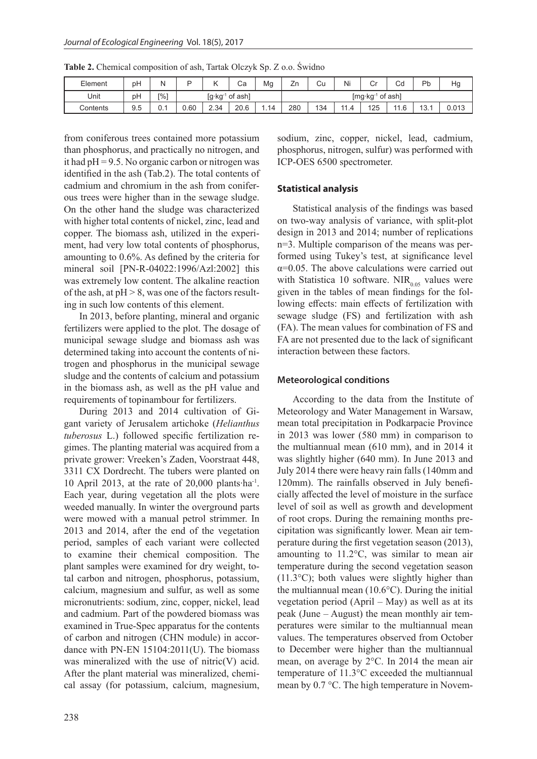| Element  | рH  | Ν   |                            | .,   | Ca   | Mg                           | Zn  | Cu  | Ni   | ⌒.<br>v | Cd   | Pb  | Ηg    |
|----------|-----|-----|----------------------------|------|------|------------------------------|-----|-----|------|---------|------|-----|-------|
| Unit     | pH  | [%] | $[g \cdot kg^{-1}$ of ash] |      |      | [mg·kg <sup>-1</sup> of ash] |     |     |      |         |      |     |       |
| Contents | 9.5 | 0.1 | 0.60                       | 2.34 | 20.6 | 1.14                         | 280 | 134 | 11.4 | 125     | 11.6 | 13. | 0.013 |

**Table 2.** Chemical composition of ash, Tartak Olczyk Sp. Z o.o. Świdno

from coniferous trees contained more potassium than phosphorus, and practically no nitrogen, and it had  $pH = 9.5$ . No organic carbon or nitrogen was identified in the ash (Tab.2). The total contents of cadmium and chromium in the ash from coniferous trees were higher than in the sewage sludge. On the other hand the sludge was characterized with higher total contents of nickel, zinc, lead and copper. The biomass ash, utilized in the experiment, had very low total contents of phosphorus, amounting to 0.6%. As defined by the criteria for mineral soil [PN-R-04022:1996/Azl:2002] this was extremely low content. The alkaline reaction of the ash, at  $pH > 8$ , was one of the factors resulting in such low contents of this element.

In 2013, before planting, mineral and organic fertilizers were applied to the plot. The dosage of municipal sewage sludge and biomass ash was determined taking into account the contents of nitrogen and phosphorus in the municipal sewage sludge and the contents of calcium and potassium in the biomass ash, as well as the pH value and requirements of topinambour for fertilizers.

During 2013 and 2014 cultivation of Gigant variety of Jerusalem artichoke (*Helianthus tuberosus* L.) followed specific fertilization regimes. The planting material was acquired from a private grower: Vreeken's Zaden, Voorstraat 448, 3311 CX Dordrecht. The tubers were planted on 10 April 2013, at the rate of 20,000 plants∙ha-1. Each year, during vegetation all the plots were weeded manually. In winter the overground parts were mowed with a manual petrol strimmer. In 2013 and 2014, after the end of the vegetation period, samples of each variant were collected to examine their chemical composition. The plant samples were examined for dry weight, total carbon and nitrogen, phosphorus, potassium, calcium, magnesium and sulfur, as well as some micronutrients: sodium, zinc, copper, nickel, lead and cadmium. Part of the powdered biomass was examined in True-Spec apparatus for the contents of carbon and nitrogen (CHN module) in accordance with PN-EN 15104:2011(U). The biomass was mineralized with the use of nitric(V) acid. After the plant material was mineralized, chemical assay (for potassium, calcium, magnesium,

sodium, zinc, copper, nickel, lead, cadmium, phosphorus, nitrogen, sulfur) was performed with ICP-OES 6500 spectrometer.

#### **Statistical analysis**

Statistical analysis of the findings was based on two-way analysis of variance, with split-plot design in 2013 and 2014; number of replications n=3. Multiple comparison of the means was performed using Tukey's test, at significance level  $\alpha$ =0.05. The above calculations were carried out with Statistica 10 software. NIR $_{0.05}$  values were given in the tables of mean findings for the following effects: main effects of fertilization with sewage sludge (FS) and fertilization with ash (FA). The mean values for combination of FS and FA are not presented due to the lack of significant interaction between these factors.

#### **Meteorological conditions**

According to the data from the Institute of Meteorology and Water Management in Warsaw, mean total precipitation in Podkarpacie Province in 2013 was lower (580 mm) in comparison to the multiannual mean (610 mm), and in 2014 it was slightly higher (640 mm). In June 2013 and July 2014 there were heavy rain falls (140mm and 120mm). The rainfalls observed in July beneficially affected the level of moisture in the surface level of soil as well as growth and development of root crops. During the remaining months precipitation was significantly lower. Mean air temperature during the first vegetation season (2013), amounting to 11.2°C, was similar to mean air temperature during the second vegetation season (11.3°C); both values were slightly higher than the multiannual mean (10.6°C). During the initial vegetation period (April – May) as well as at its peak (June – August) the mean monthly air temperatures were similar to the multiannual mean values. The temperatures observed from October to December were higher than the multiannual mean, on average by 2°C. In 2014 the mean air temperature of 11.3°C exceeded the multiannual mean by 0.7 °C. The high temperature in Novem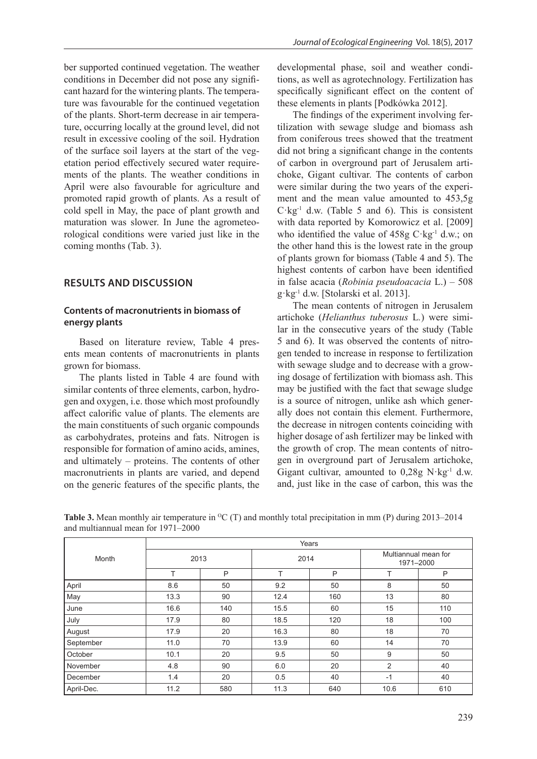ber supported continued vegetation. The weather conditions in December did not pose any significant hazard for the wintering plants. The temperature was favourable for the continued vegetation of the plants. Short-term decrease in air temperature, occurring locally at the ground level, did not result in excessive cooling of the soil. Hydration of the surface soil layers at the start of the vegetation period effectively secured water requirements of the plants. The weather conditions in April were also favourable for agriculture and promoted rapid growth of plants. As a result of cold spell in May, the pace of plant growth and maturation was slower. In June the agrometeorological conditions were varied just like in the coming months (Tab. 3).

## **RESULTS AND DISCUSSION**

## **Contents of macronutrients in biomass of energy plants**

Based on literature review, Table 4 presents mean contents of macronutrients in plants grown for biomass.

The plants listed in Table 4 are found with similar contents of three elements, carbon, hydrogen and oxygen, i.e. those which most profoundly affect calorific value of plants. The elements are the main constituents of such organic compounds as carbohydrates, proteins and fats. Nitrogen is responsible for formation of amino acids, amines, and ultimately – proteins. The contents of other macronutrients in plants are varied, and depend on the generic features of the specific plants, the

developmental phase, soil and weather conditions, as well as agrotechnology. Fertilization has specifically significant effect on the content of these elements in plants [Podkówka 2012].

The findings of the experiment involving fertilization with sewage sludge and biomass ash from coniferous trees showed that the treatment did not bring a significant change in the contents of carbon in overground part of Jerusalem artichoke, Gigant cultivar. The contents of carbon were similar during the two years of the experiment and the mean value amounted to 453,5g  $C \cdot kg^{-1}$  d.w. (Table 5 and 6). This is consistent with data reported by Komorowicz et al. [2009] who identified the value of  $458g \text{ C·kg}^{-1}$  d.w.; on the other hand this is the lowest rate in the group of plants grown for biomass (Table 4 and 5). The highest contents of carbon have been identified in false acacia (*Robinia pseudoacacia* L.) – 508 g·kg-1 d.w. [Stolarski et al. 2013].

The mean contents of nitrogen in Jerusalem artichoke (*Helianthus tuberosus* L*.*) were similar in the consecutive years of the study (Table 5 and 6). It was observed the contents of nitrogen tended to increase in response to fertilization with sewage sludge and to decrease with a growing dosage of fertilization with biomass ash. This may be justified with the fact that sewage sludge is a source of nitrogen, unlike ash which generally does not contain this element. Furthermore, the decrease in nitrogen contents coinciding with higher dosage of ash fertilizer may be linked with the growth of crop. The mean contents of nitrogen in overground part of Jerusalem artichoke, Gigant cultivar, amounted to  $0.28g$  N·kg<sup>-1</sup> d.w. and, just like in the case of carbon, this was the

|            | Years |     |      |     |                                   |     |  |  |  |  |  |
|------------|-------|-----|------|-----|-----------------------------------|-----|--|--|--|--|--|
| Month      | 2013  |     | 2014 |     | Multiannual mean for<br>1971-2000 |     |  |  |  |  |  |
|            | T     | P   | т    | P   |                                   | P   |  |  |  |  |  |
| April      | 8.6   | 50  | 9.2  | 50  | 8                                 | 50  |  |  |  |  |  |
| May        | 13.3  | 90  | 12.4 | 160 | 13                                | 80  |  |  |  |  |  |
| June       | 16.6  | 140 | 15.5 | 60  | 15                                | 110 |  |  |  |  |  |
| July       | 17.9  | 80  | 18.5 | 120 | 18                                | 100 |  |  |  |  |  |
| August     | 17.9  | 20  | 16.3 | 80  | 18                                | 70  |  |  |  |  |  |
| September  | 11.0  | 70  | 13.9 | 60  | 14                                | 70  |  |  |  |  |  |
| October    | 10.1  | 20  | 9.5  | 50  | 9                                 | 50  |  |  |  |  |  |
| November   | 4.8   | 90  | 6.0  | 20  | $\overline{2}$                    | 40  |  |  |  |  |  |
| December   | 1.4   | 20  | 0.5  | 40  | $-1$                              | 40  |  |  |  |  |  |
| April-Dec. | 11.2  | 580 | 11.3 | 640 | 10.6                              | 610 |  |  |  |  |  |

Table 3. Mean monthly air temperature in <sup>o</sup>C (T) and monthly total precipitation in mm (P) during 2013–2014 and multiannual mean for 1971–2000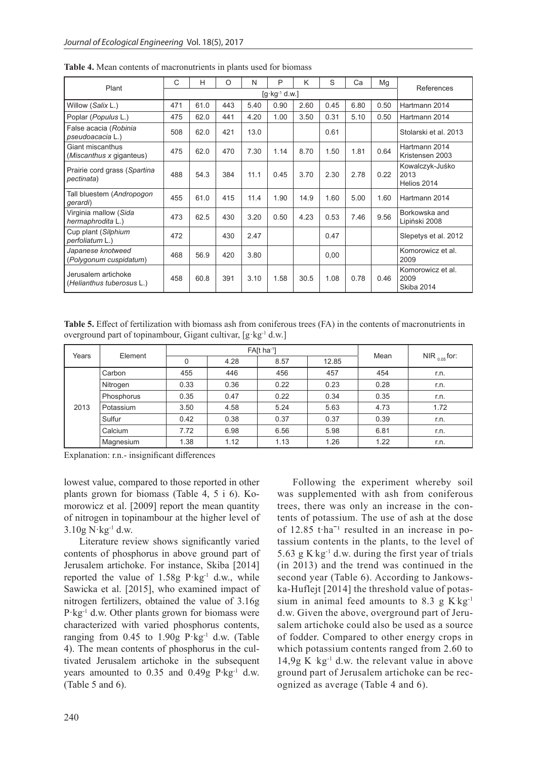| Plant                                            | C   | H    | O   | N    | P    | K    | S    | Ca   | Mg   | References                                     |
|--------------------------------------------------|-----|------|-----|------|------|------|------|------|------|------------------------------------------------|
|                                                  |     |      |     |      |      |      |      |      |      |                                                |
| Willow (Salix L.)                                | 471 | 61.0 | 443 | 5.40 | 0.90 | 2.60 | 0.45 | 6.80 | 0.50 | Hartmann 2014                                  |
| Poplar (Populus L.)                              | 475 | 62.0 | 441 | 4.20 | 1.00 | 3.50 | 0.31 | 5.10 | 0.50 | Hartmann 2014                                  |
| False acacia (Robinia<br>pseudoacacia L.)        | 508 | 62.0 | 421 | 13.0 |      |      | 0.61 |      |      | Stolarski et al. 2013                          |
| Giant miscanthus<br>(Miscanthus x giganteus)     | 475 | 62.0 | 470 | 7.30 | 1.14 | 8.70 | 1.50 | 1.81 | 0.64 | Hartmann 2014<br>Kristensen 2003               |
| Prairie cord grass (Spartina<br>pectinata)       | 488 | 54.3 | 384 | 11.1 | 0.45 | 3.70 | 2.30 | 2.78 | 0.22 | Kowalczyk-Juśko<br>2013<br>Helios 2014         |
| Tall bluestem (Andropogon<br><i>gerardi</i> )    | 455 | 61.0 | 415 | 11.4 | 1.90 | 14.9 | 1.60 | 5.00 | 1.60 | Hartmann 2014                                  |
| Virginia mallow (Sida<br>hermaphrodita L.)       | 473 | 62.5 | 430 | 3.20 | 0.50 | 4.23 | 0.53 | 7.46 | 9.56 | Borkowska and<br>Lipiński 2008                 |
| Cup plant (Silphium<br>perfoliatum L.)           | 472 |      | 430 | 2.47 |      |      | 0.47 |      |      | Slepetys et al. 2012                           |
| Japanese knotweed<br>(Polygonum cuspidatum)      | 468 | 56.9 | 420 | 3.80 |      |      | 0,00 |      |      | Komorowicz et al.<br>2009                      |
| Jerusalem artichoke<br>(Helianthus tuberosus L.) | 458 | 60.8 | 391 | 3.10 | 1.58 | 30.5 | 1.08 | 0.78 | 0.46 | Komorowicz et al.<br>2009<br><b>Skiba 2014</b> |

**Table 4.** Mean contents of macronutrients in plants used for biomass

**Table 5.** Effect of fertilization with biomass ash from coniferous trees (FA) in the contents of macronutrients in overground part of topinambour, Gigant cultivar, [g·kg-1 d.w.]

| Years | Element    |      | $FA[t]$ ha <sup>-1</sup> ] | Mean |       |      |                    |
|-------|------------|------|----------------------------|------|-------|------|--------------------|
|       |            | 0    | 4.28                       | 8.57 | 12.85 |      | NIR $_{0.05}$ for: |
|       | Carbon     | 455  | 446                        | 456  | 457   | 454  | r.n.               |
|       | Nitrogen   | 0.33 | 0.36                       | 0.22 | 0.23  | 0.28 | r.n.               |
|       | Phosphorus | 0.35 | 0.47                       | 0.22 | 0.34  | 0.35 | r.n.               |
| 2013  | Potassium  | 3.50 | 4.58                       | 5.24 | 5.63  | 4.73 | 1.72               |
|       | Sulfur     | 0.42 | 0.38                       | 0.37 | 0.37  | 0.39 | r.n.               |
|       | Calcium    | 7.72 | 6.98                       | 6.56 | 5.98  | 6.81 | r.n.               |
|       | Magnesium  | 1.38 | 1.12                       | 1.13 | 1.26  | 1.22 | r.n.               |

Explanation: r.n.- insignificant differences

lowest value, compared to those reported in other plants grown for biomass (Table 4, 5 i 6). Komorowicz et al. [2009] report the mean quantity of nitrogen in topinambour at the higher level of  $3.10g N·kg<sup>-1</sup> d.w.$ 

Literature review shows significantly varied contents of phosphorus in above ground part of Jerusalem artichoke. For instance, Skiba [2014] reported the value of  $1.58g$  P·kg<sup>-1</sup> d.w., while Sawicka et al. [2015], who examined impact of nitrogen fertilizers, obtained the value of 3.16g  $P \cdot kg^{-1}$  d.w. Other plants grown for biomass were characterized with varied phosphorus contents, ranging from  $0.45$  to  $1.90g \text{ P} \cdot \text{kg}^{-1}$  d.w. (Table 4). The mean contents of phosphorus in the cultivated Jerusalem artichoke in the subsequent years amounted to 0.35 and 0.49g P∙kg-1 d.w. (Table 5 and 6).

Following the experiment whereby soil was supplemented with ash from coniferous trees, there was only an increase in the contents of potassium. The use of ash at the dose of 12.85 t⋅ha<sup>-1</sup> resulted in an increase in potassium contents in the plants, to the level of 5.63  $g$  K  $kg^{-1}$  d.w. during the first year of trials (in 2013) and the trend was continued in the second year (Table 6). According to Jankowska-Huflejt [2014] the threshold value of potassium in animal feed amounts to  $8.3 \text{ g K} \text{ kg}^{-1}$ d.w. Given the above, overground part of Jerusalem artichoke could also be used as a source of fodder. Compared to other energy crops in which potassium contents ranged from 2.60 to  $14.9g K kg<sup>-1</sup> d.w.$  the relevant value in above ground part of Jerusalem artichoke can be recognized as average (Table 4 and 6).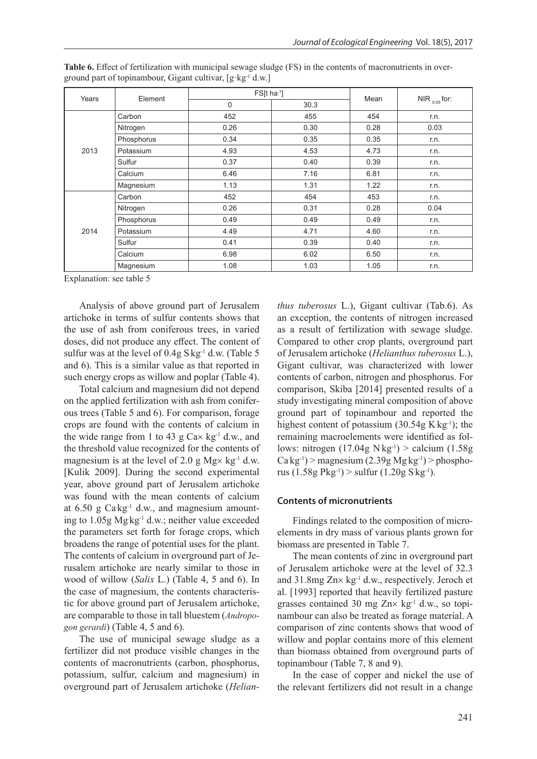|       |            | $FS[t\,ha^{-1}]$ |      | Mean |                    |  |
|-------|------------|------------------|------|------|--------------------|--|
| Years | Element    | 0                | 30.3 |      | NIR $_{0.05}$ for: |  |
|       | Carbon     | 452              | 455  | 454  | r.n.               |  |
|       | Nitrogen   | 0.26             | 0.30 | 0.28 | 0.03               |  |
|       | Phosphorus | 0.34             | 0.35 | 0.35 | r.n.               |  |
| 2013  | Potassium  | 4.93             | 4.53 | 4.73 | r.n.               |  |
|       | Sulfur     | 0.37             | 0.40 | 0.39 | r.n.               |  |
|       | Calcium    | 6.46             | 7.16 | 6.81 | r.n.               |  |
|       | Magnesium  | 1.13             | 1.31 | 1.22 | r.n.               |  |
|       | Carbon     | 452              | 454  | 453  | r.n.               |  |
|       | Nitrogen   | 0.26             | 0.31 | 0.28 | 0.04               |  |
|       | Phosphorus | 0.49             | 0.49 | 0.49 | r.n.               |  |
| 2014  | Potassium  | 4.49             | 4.71 | 4.60 | r.n.               |  |
|       | Sulfur     | 0.41             | 0.39 | 0.40 | r.n.               |  |
|       | Calcium    | 6.98             | 6.02 | 6.50 | r.n.               |  |
|       | Magnesium  | 1.08             | 1.03 | 1.05 | r.n.               |  |

**Table 6.** Effect of fertilization with municipal sewage sludge (FS) in the contents of macronutrients in overground part of topinambour, Gigant cultivar,  $[g \, k g^{-1} \, d.w.]$ 

Explanation: see table 5

Analysis of above ground part of Jerusalem artichoke in terms of sulfur contents shows that the use of ash from coniferous trees, in varied doses, did not produce any effect. The content of sulfur was at the level of  $0.4g S kg<sup>-1</sup> d.w.$  (Table 5 and 6). This is a similar value as that reported in such energy crops as willow and poplar (Table 4).

Total calcium and magnesium did not depend on the applied fertilization with ash from coniferous trees (Table 5 and 6). For comparison, forage crops are found with the contents of calcium in the wide range from 1 to 43 g  $\text{Cax}$  kg<sup>-1</sup> d.w., and the threshold value recognized for the contents of magnesium is at the level of 2.0 g Mg $\times$  kg<sup>-1</sup> d.w. [Kulik 2009]. During the second experimental year, above ground part of Jerusalem artichoke was found with the mean contents of calcium at  $6.50 \text{ g } Ca \text{ kg}^{-1}$  d.w., and magnesium amounting to  $1.05g Mgkg<sup>-1</sup>$  d.w.; neither value exceeded the parameters set forth for forage crops, which broadens the range of potential uses for the plant. The contents of calcium in overground part of Jerusalem artichoke are nearly similar to those in wood of willow (*Salix* L.) (Table 4, 5 and 6). In the case of magnesium, the contents characteristic for above ground part of Jerusalem artichoke, are comparable to those in tall bluestem (*Andropogon gerardi*) (Table 4, 5 and 6).

The use of municipal sewage sludge as a fertilizer did not produce visible changes in the contents of macronutrients (carbon, phosphorus, potassium, sulfur, calcium and magnesium) in overground part of Jerusalem artichoke (*Helian-* *thus tuberosus* L.), Gigant cultivar (Tab.6). As an exception, the contents of nitrogen increased as a result of fertilization with sewage sludge. Compared to other crop plants, overground part of Jerusalem artichoke (*Helianthus tuberosus* L.), Gigant cultivar, was characterized with lower contents of carbon, nitrogen and phosphorus. For comparison, Skiba [2014] presented results of a study investigating mineral composition of above ground part of topinambour and reported the highest content of potassium  $(30.54g Kkg<sup>-1</sup>)$ ; the remaining macroelements were identified as follows: nitrogen  $(17.04g \text{ Nkg}^{-1})$  > calcium  $(1.58g)$  $Ca\,kg^{-1})$  > magnesium (2.39g Mg $\,kg^{-1})$  > phosphorus (1.58g Pkg<sup>-1</sup>) > sulfur (1.20g S<sup>kg-1</sup>).

## **Contents of micronutrients**

Findings related to the composition of microelements in dry mass of various plants grown for biomass are presented in Table 7.

The mean contents of zinc in overground part of Jerusalem artichoke were at the level of 32.3 and  $31.8$ mg  $Z$ n $\times$  kg<sup>-1</sup> d.w., respectively. Jeroch et al. [1993] reported that heavily fertilized pasture grasses contained 30 mg  $Zn \times kg^{-1}$  d.w., so topinambour can also be treated as forage material. A comparison of zinc contents shows that wood of willow and poplar contains more of this element than biomass obtained from overground parts of topinambour (Table 7, 8 and 9).

In the case of copper and nickel the use of the relevant fertilizers did not result in a change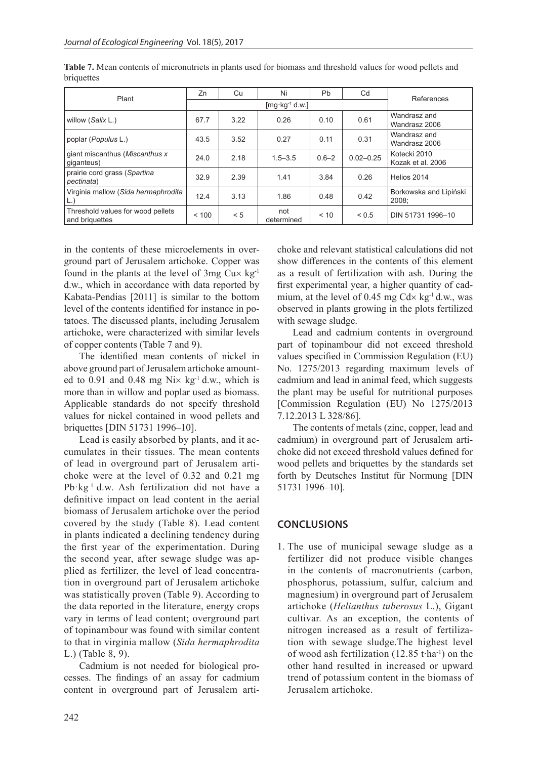| Plant                                                      | Zn    | Cu   | Ni                | <b>Pb</b> | Cd            | References                        |
|------------------------------------------------------------|-------|------|-------------------|-----------|---------------|-----------------------------------|
|                                                            |       |      |                   |           |               |                                   |
| willow (Salix L.)                                          | 67.7  | 3.22 | 0.26              | 0.10      | 0.61          | Wandrasz and<br>Wandrasz 2006     |
| poplar (Populus L.)                                        | 43.5  | 3.52 | 0.27              | 0.11      | 0.31          | Wandrasz and<br>Wandrasz 2006     |
| giant miscanthus (Miscanthus x<br>qiqanteus)               | 24.0  | 2.18 | $1.5 - 3.5$       | $0.6 - 2$ | $0.02 - 0.25$ | Kotecki 2010<br>Kozak et al. 2006 |
| prairie cord grass (Spartina<br>pectinata)                 | 32.9  | 2.39 | 1.41              | 3.84      | 0.26          | Helios 2014                       |
| Virginia mallow (Sida hermaphrodita<br>$\lfloor . \rfloor$ | 12.4  | 3.13 | 1.86              | 0.48      | 0.42          | Borkowska and Lipiński<br>2008:   |
| Threshold values for wood pellets<br>and briquettes        | < 100 | < 5  | not<br>determined | < 10      | < 0.5         | DIN 51731 1996-10                 |

**Table 7.** Mean contents of micronutriets in plants used for biomass and threshold values for wood pellets and briquettes

in the contents of these microelements in overground part of Jerusalem artichoke. Copper was found in the plants at the level of  $3mg$  Cu $\times$  kg<sup>-1</sup> d.w., which in accordance with data reported by Kabata-Pendias [2011] is similar to the bottom level of the contents identified for instance in potatoes. The discussed plants, including Jerusalem artichoke, were characterized with similar levels of copper contents (Table 7 and 9).

The identified mean contents of nickel in above ground part of Jerusalem artichoke amounted to 0.91 and 0.48 mg  $Nix \, kg^{-1}$  d.w., which is more than in willow and poplar used as biomass. Applicable standards do not specify threshold values for nickel contained in wood pellets and briquettes [DIN 51731 1996–10].

Lead is easily absorbed by plants, and it accumulates in their tissues. The mean contents of lead in overground part of Jerusalem artichoke were at the level of 0.32 and 0.21 mg Pb·kg-1 d.w. Ash fertilization did not have a definitive impact on lead content in the aerial biomass of Jerusalem artichoke over the period covered by the study (Table 8). Lead content in plants indicated a declining tendency during the first year of the experimentation. During the second year, after sewage sludge was applied as fertilizer, the level of lead concentration in overground part of Jerusalem artichoke was statistically proven (Table 9). According to the data reported in the literature, energy crops vary in terms of lead content; overground part of topinambour was found with similar content to that in virginia mallow (*Sida hermaphrodita*  L.) (Table 8, 9).

Cadmium is not needed for biological processes. The findings of an assay for cadmium content in overground part of Jerusalem artichoke and relevant statistical calculations did not show differences in the contents of this element as a result of fertilization with ash. During the first experimental year, a higher quantity of cadmium, at the level of 0.45 mg  $Cdx$  kg<sup>-1</sup> d.w., was observed in plants growing in the plots fertilized with sewage sludge.

Lead and cadmium contents in overground part of topinambour did not exceed threshold values specified in Commission Regulation (EU) No. 1275/2013 regarding maximum levels of cadmium and lead in animal feed, which suggests the plant may be useful for nutritional purposes [Commission Regulation (EU) No 1275/2013 7.12.2013 L 328/86].

The contents of metals (zinc, copper, lead and cadmium) in overground part of Jerusalem artichoke did not exceed threshold values defined for wood pellets and briquettes by the standards set forth by Deutsches Institut für Normung [DIN 51731 1996–10].

## **CONCLUSIONS**

1. The use of municipal sewage sludge as a fertilizer did not produce visible changes in the contents of macronutrients (carbon, phosphorus, potassium, sulfur, calcium and magnesium) in overground part of Jerusalem artichoke (*Helianthus tuberosus* L.), Gigant cultivar. As an exception, the contents of nitrogen increased as a result of fertilization with sewage sludge.The highest level of wood ash fertilization (12.85 t∙ha-1) on the other hand resulted in increased or upward trend of potassium content in the biomass of Jerusalem artichoke.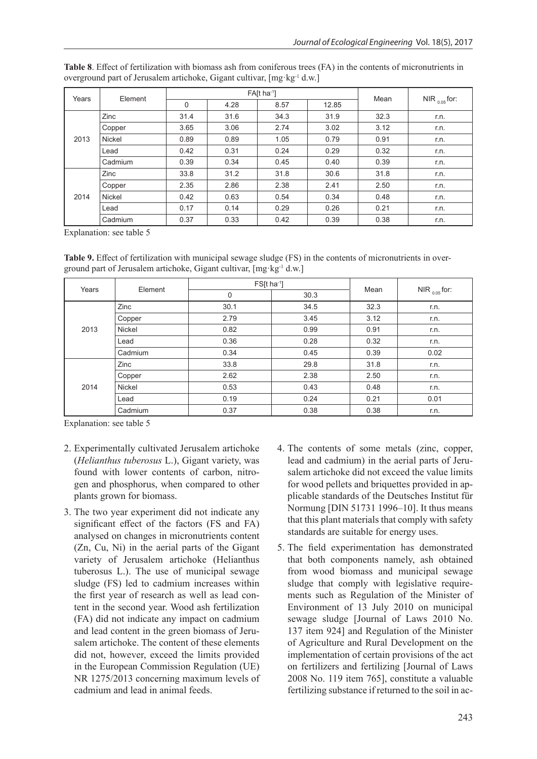| Years | Element       |      | FA[t ha-1] |      | Mean  | NIR $_{0.05}$ for: |      |  |
|-------|---------------|------|------------|------|-------|--------------------|------|--|
|       |               | 0    | 4.28       | 8.57 | 12.85 |                    |      |  |
|       | Zinc          | 31.4 | 31.6       | 34.3 | 31.9  | 32.3               | r.n. |  |
|       | Copper        | 3.65 | 3.06       | 2.74 | 3.02  | 3.12               | r.n. |  |
| 2013  | <b>Nickel</b> | 0.89 | 0.89       | 1.05 | 0.79  | 0.91               | r.n. |  |
|       | Lead          | 0.42 | 0.31       | 0.24 | 0.29  | 0.32               | r.n. |  |
|       | Cadmium       | 0.39 | 0.34       | 0.45 | 0.40  | 0.39               | r.n. |  |
|       | Zinc          | 33.8 | 31.2       | 31.8 | 30.6  | 31.8               | r.n. |  |
|       | Copper        | 2.35 | 2.86       | 2.38 | 2.41  | 2.50               | r.n. |  |
| 2014  | Nickel        | 0.42 | 0.63       | 0.54 | 0.34  | 0.48               | r.n. |  |
|       | Lead          | 0.17 | 0.14       | 0.29 | 0.26  | 0.21               | r.n. |  |
|       | Cadmium       | 0.37 | 0.33       | 0.42 | 0.39  | 0.38               | r.n. |  |

**Table 8**. Effect of fertilization with biomass ash from coniferous trees (FA) in the contents of micronutrients in overground part of Jerusalem artichoke, Gigant cultivar, [mg·kg-1 d.w.]

Explanation: see table 5

**Table 9.** Effect of fertilization with municipal sewage sludge (FS) in the contents of micronutrients in overground part of Jerusalem artichoke, Gigant cultivar, [mg·kg-1 d.w.]

|       |               | $FS[t\,ha^{-1}]$ |      |      | NIR $_{0.05}$ for: |  |
|-------|---------------|------------------|------|------|--------------------|--|
| Years | Element       | 0                | 30.3 | Mean |                    |  |
|       | Zinc          | 30.1             | 34.5 | 32.3 | r.n.               |  |
|       | Copper        | 2.79             | 3.45 | 3.12 | r.n.               |  |
| 2013  | Nickel        | 0.82             | 0.99 | 0.91 | r.n.               |  |
|       | Lead          | 0.36             | 0.28 | 0.32 | r.n.               |  |
|       | Cadmium       | 0.34             | 0.45 | 0.39 | 0.02               |  |
|       | Zinc          | 33.8             | 29.8 | 31.8 | r.n.               |  |
|       | Copper        | 2.62             | 2.38 | 2.50 | r.n.               |  |
| 2014  | <b>Nickel</b> | 0.53             | 0.43 | 0.48 | r.n.               |  |
|       | Lead          | 0.19             | 0.24 | 0.21 | 0.01               |  |
|       | Cadmium       | 0.37             | 0.38 | 0.38 | r.n.               |  |

Explanation: see table 5

- 2. Experimentally cultivated Jerusalem artichoke (*Helianthus tuberosus* L.), Gigant variety, was found with lower contents of carbon, nitrogen and phosphorus, when compared to other plants grown for biomass.
- 3. The two year experiment did not indicate any significant effect of the factors (FS and FA) analysed on changes in micronutrients content (Zn, Cu, Ni) in the aerial parts of the Gigant variety of Jerusalem artichoke (Helianthus tuberosus L.). The use of municipal sewage sludge (FS) led to cadmium increases within the first year of research as well as lead content in the second year. Wood ash fertilization (FA) did not indicate any impact on cadmium and lead content in the green biomass of Jerusalem artichoke. The content of these elements did not, however, exceed the limits provided in the European Commission Regulation (UE) NR 1275/2013 concerning maximum levels of cadmium and lead in animal feeds.
- 4. The contents of some metals (zinc, copper, lead and cadmium) in the aerial parts of Jerusalem artichoke did not exceed the value limits for wood pellets and briquettes provided in applicable standards of the Deutsches Institut für Normung [DIN 51731 1996–10]. It thus means that this plant materials that comply with safety standards are suitable for energy uses.
- 5. The field experimentation has demonstrated that both components namely, ash obtained from wood biomass and municipal sewage sludge that comply with legislative requirements such as Regulation of the Minister of Environment of 13 July 2010 on municipal sewage sludge [Journal of Laws 2010 No. 137 item 924] and Regulation of the Minister of Agriculture and Rural Development on the implementation of certain provisions of the act on fertilizers and fertilizing [Journal of Laws 2008 No. 119 item 765], constitute a valuable fertilizing substance if returned to the soil in ac-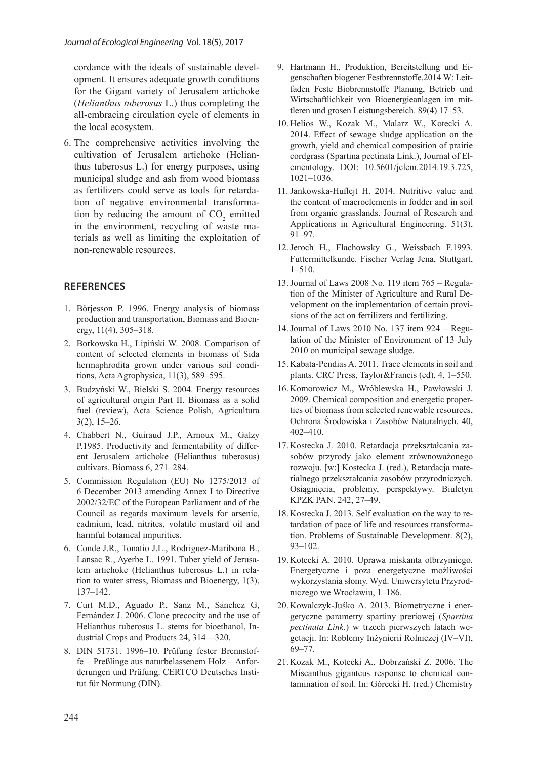cordance with the ideals of sustainable development. It ensures adequate growth conditions for the Gigant variety of Jerusalem artichoke (*Helianthus tuberosus* L.) thus completing the all-embracing circulation cycle of elements in the local ecosystem.

6. The comprehensive activities involving the cultivation of Jerusalem artichoke (Helianthus tuberosus L.) for energy purposes, using municipal sludge and ash from wood biomass as fertilizers could serve as tools for retardation of negative environmental transformation by reducing the amount of  $CO<sub>2</sub>$  emitted in the environment, recycling of waste materials as well as limiting the exploitation of non-renewable resources.

## **REFERENCES**

- 1. Börjesson P. 1996. Energy analysis of biomass production and transportation, Biomass and Bioenergy, 11(4), 305–318.
- 2. Borkowska H., Lipiński W. 2008. Comparison of content of selected elements in biomass of Sida hermaphrodita grown under various soil conditions, Acta Agrophysica, 11(3), 589–595.
- 3. Budzyński W., Bielski S. 2004. Energy resources of agricultural origin Part II. Biomass as a solid fuel (review), Acta Science Polish, Agricultura 3(2), 15–26.
- 4. Chabbert N., Guiraud J.P., Arnoux M., Galzy P.1985. Productivity and fermentability of different Jerusalem artichoke (Helianthus tuberosus) cultivars. Biomass 6, 271–284.
- 5. Commission Regulation (EU) No 1275/2013 of 6 December 2013 amending Annex I to Directive 2002/32/EC of the European Parliament and of the Council as regards maximum levels for arsenic, cadmium, lead, nitrites, volatile mustard oil and harmful botanical impurities.
- 6. Conde J.R., Tonatio J.L., Rodriguez-Maribona B., Lansac R., Ayerbe L. 1991. Tuber yield of Jerusalem artichoke (Helianthus tuberosus L.) in relation to water stress, Biomass and Bioenergy, 1(3), 137–142.
- 7. Curt M.D., Aguado P., Sanz M., Sánchez G, Fernández J. 2006. Clone precocity and the use of Helianthus tuberosus L. stems for bioethanol, Industrial Crops and Products 24, 314––320.
- 8. DIN 51731. 1996–10. Prüfung fester Brennstoffe – Preßlinge aus naturbelassenem Holz – Anforderungen und Prüfung. CERTCO Deutsches Institut für Normung (DIN).
- 9. Hartmann H., Produktion, Bereitstellung und Eigenschaften biogener Festbrennstoffe.2014 W: Leitfaden Feste Biobrennstoffe Planung, Betrieb und Wirtschaftlichkeit von Bioenergieanlagen im mittleren und grosen Leistungsbereich. 89(4) 17–53.
- 10. Helios W., Kozak M., Malarz W., Kotecki A. 2014. Effect of sewage sludge application on the growth, yield and chemical composition of prairie cordgrass (Spartina pectinata Link.), Journal of Elementology. DOI: 10.5601/jelem.2014.19.3.725, 1021–1036.
- 11. Jankowska-Huflejt H. 2014. Nutritive value and the content of macroelements in fodder and in soil from organic grasslands. Journal of Research and Applications in Agricultural Engineering. 51(3), 91–97.
- 12.Jeroch H., Flachowsky G., Weissbach F.1993. Futtermittelkunde. Fischer Verlag Jena, Stuttgart, 1–510.
- 13.Journal of Laws 2008 No. 119 item 765 Regulation of the Minister of Agriculture and Rural Development on the implementation of certain provisions of the act on fertilizers and fertilizing.
- 14.Journal of Laws 2010 No. 137 item 924 Regulation of the Minister of Environment of 13 July 2010 on municipal sewage sludge.
- 15. Kabata-Pendias A. 2011. Trace elements in soil and plants. CRC Press, Taylor&Francis (ed), 4, 1–550.
- 16. Komorowicz M., Wróblewska H., Pawłowski J. 2009. Chemical composition and energetic properties of biomass from selected renewable resources, Ochrona Środowiska i Zasobów Naturalnych. 40, 402–410.
- 17. Kostecka J. 2010. Retardacja przekształcania zasobów przyrody jako element zrównoważonego rozwoju. [w:] Kostecka J. (red.), Retardacja materialnego przekształcania zasobów przyrodniczych. Osiągnięcia, problemy, perspektywy. Biuletyn KPZK PAN. 242, 27–49.
- 18. Kostecka J. 2013. Self evaluation on the way to retardation of pace of life and resources transformation. Problems of Sustainable Development. 8(2), 93–102.
- 19. Kotecki A. 2010. Uprawa miskanta olbrzymiego. Energetyczne i poza energetyczne możliwości wykorzystania słomy. Wyd. Uniwersytetu Przyrodniczego we Wrocławiu, 1–186.
- 20. Kowalczyk-Juśko A. 2013. Biometryczne i energetyczne parametry spartiny preriowej (*Spartina pectinata Link*.) w trzech pierwszych latach wegetacji. In: Roblemy Inżynierii Rolniczej (IV–VI), 69–77.
- 21. Kozak M., Kotecki A., Dobrzański Z. 2006. The Miscanthus giganteus response to chemical contamination of soil. In: Górecki H. (red.) Chemistry